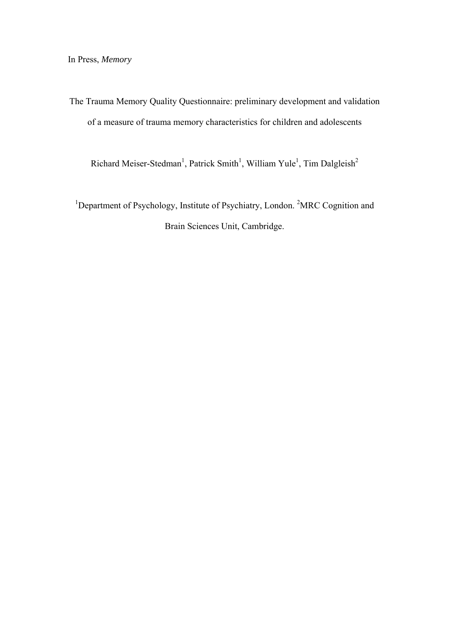The Trauma Memory Quality Questionnaire: preliminary development and validation of a measure of trauma memory characteristics for children and adolescents

Richard Meiser-Stedman<sup>1</sup>, Patrick Smith<sup>1</sup>, William Yule<sup>1</sup>, Tim Dalgleish<sup>2</sup>

<sup>1</sup>Department of Psychology, Institute of Psychiatry, London. <sup>2</sup>MRC Cognition and Brain Sciences Unit, Cambridge.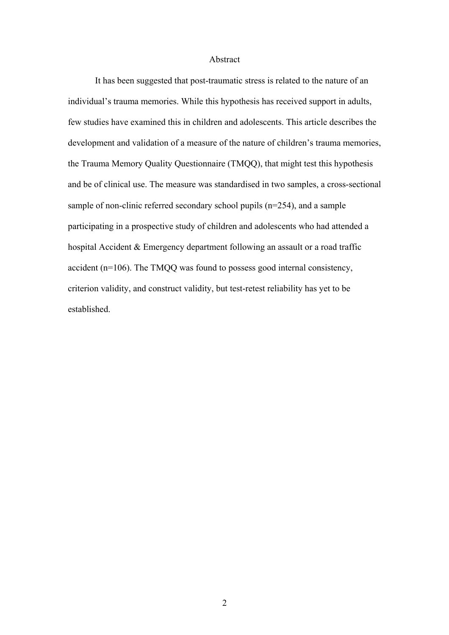## Abstract

It has been suggested that post-traumatic stress is related to the nature of an individual's trauma memories. While this hypothesis has received support in adults, few studies have examined this in children and adolescents. This article describes the development and validation of a measure of the nature of children's trauma memories, the Trauma Memory Quality Questionnaire (TMQQ), that might test this hypothesis and be of clinical use. The measure was standardised in two samples, a cross-sectional sample of non-clinic referred secondary school pupils (n=254), and a sample participating in a prospective study of children and adolescents who had attended a hospital Accident & Emergency department following an assault or a road traffic accident (n=106). The TMQQ was found to possess good internal consistency, criterion validity, and construct validity, but test-retest reliability has yet to be established.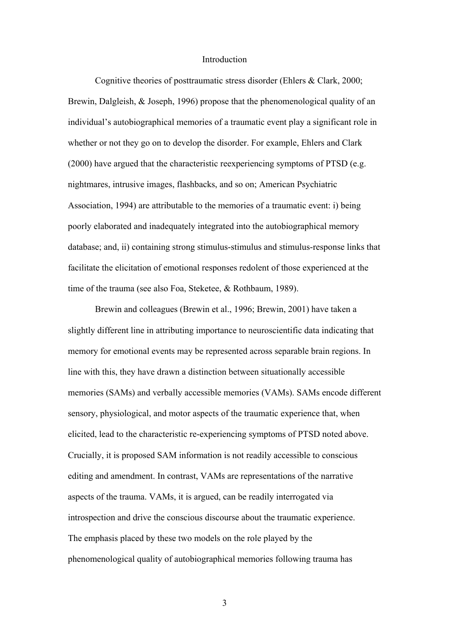## Introduction

Cognitive theories of posttraumatic stress disorder (Ehlers & Clark, 2000; Brewin, Dalgleish, & Joseph, 1996) propose that the phenomenological quality of an individual's autobiographical memories of a traumatic event play a significant role in whether or not they go on to develop the disorder. For example, Ehlers and Clark (2000) have argued that the characteristic reexperiencing symptoms of PTSD (e.g. nightmares, intrusive images, flashbacks, and so on; American Psychiatric Association, 1994) are attributable to the memories of a traumatic event: i) being poorly elaborated and inadequately integrated into the autobiographical memory database; and, ii) containing strong stimulus-stimulus and stimulus-response links that facilitate the elicitation of emotional responses redolent of those experienced at the time of the trauma (see also Foa, Steketee, & Rothbaum, 1989).

Brewin and colleagues (Brewin et al., 1996; Brewin, 2001) have taken a slightly different line in attributing importance to neuroscientific data indicating that memory for emotional events may be represented across separable brain regions. In line with this, they have drawn a distinction between situationally accessible memories (SAMs) and verbally accessible memories (VAMs). SAMs encode different sensory, physiological, and motor aspects of the traumatic experience that, when elicited, lead to the characteristic re-experiencing symptoms of PTSD noted above. Crucially, it is proposed SAM information is not readily accessible to conscious editing and amendment. In contrast, VAMs are representations of the narrative aspects of the trauma. VAMs, it is argued, can be readily interrogated via introspection and drive the conscious discourse about the traumatic experience. The emphasis placed by these two models on the role played by the phenomenological quality of autobiographical memories following trauma has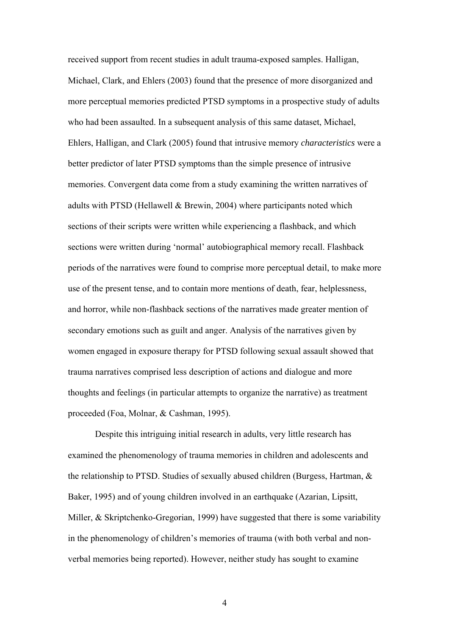received support from recent studies in adult trauma-exposed samples. Halligan, Michael, Clark, and Ehlers (2003) found that the presence of more disorganized and more perceptual memories predicted PTSD symptoms in a prospective study of adults who had been assaulted. In a subsequent analysis of this same dataset, Michael, Ehlers, Halligan, and Clark (2005) found that intrusive memory *characteristics* were a better predictor of later PTSD symptoms than the simple presence of intrusive memories. Convergent data come from a study examining the written narratives of adults with PTSD (Hellawell & Brewin, 2004) where participants noted which sections of their scripts were written while experiencing a flashback, and which sections were written during 'normal' autobiographical memory recall. Flashback periods of the narratives were found to comprise more perceptual detail, to make more use of the present tense, and to contain more mentions of death, fear, helplessness, and horror, while non-flashback sections of the narratives made greater mention of secondary emotions such as guilt and anger. Analysis of the narratives given by women engaged in exposure therapy for PTSD following sexual assault showed that trauma narratives comprised less description of actions and dialogue and more thoughts and feelings (in particular attempts to organize the narrative) as treatment proceeded (Foa, Molnar, & Cashman, 1995).

Despite this intriguing initial research in adults, very little research has examined the phenomenology of trauma memories in children and adolescents and the relationship to PTSD. Studies of sexually abused children (Burgess, Hartman, & Baker, 1995) and of young children involved in an earthquake (Azarian, Lipsitt, Miller, & Skriptchenko-Gregorian, 1999) have suggested that there is some variability in the phenomenology of children's memories of trauma (with both verbal and nonverbal memories being reported). However, neither study has sought to examine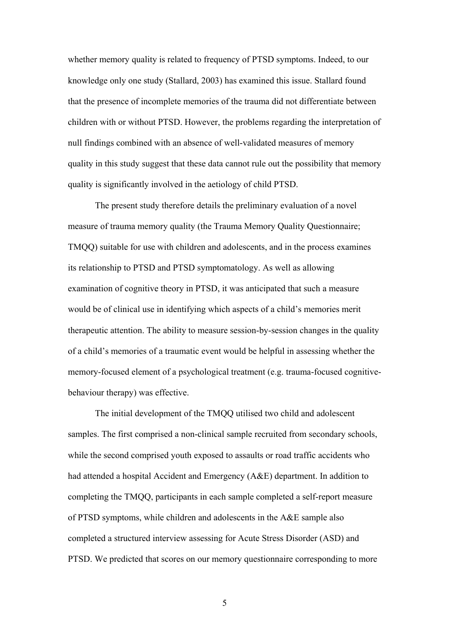whether memory quality is related to frequency of PTSD symptoms. Indeed, to our knowledge only one study (Stallard, 2003) has examined this issue. Stallard found that the presence of incomplete memories of the trauma did not differentiate between children with or without PTSD. However, the problems regarding the interpretation of null findings combined with an absence of well-validated measures of memory quality in this study suggest that these data cannot rule out the possibility that memory quality is significantly involved in the aetiology of child PTSD.

The present study therefore details the preliminary evaluation of a novel measure of trauma memory quality (the Trauma Memory Quality Questionnaire; TMQQ) suitable for use with children and adolescents, and in the process examines its relationship to PTSD and PTSD symptomatology. As well as allowing examination of cognitive theory in PTSD, it was anticipated that such a measure would be of clinical use in identifying which aspects of a child's memories merit therapeutic attention. The ability to measure session-by-session changes in the quality of a child's memories of a traumatic event would be helpful in assessing whether the memory-focused element of a psychological treatment (e.g. trauma-focused cognitivebehaviour therapy) was effective.

The initial development of the TMQQ utilised two child and adolescent samples. The first comprised a non-clinical sample recruited from secondary schools, while the second comprised youth exposed to assaults or road traffic accidents who had attended a hospital Accident and Emergency (A&E) department. In addition to completing the TMQQ, participants in each sample completed a self-report measure of PTSD symptoms, while children and adolescents in the A&E sample also completed a structured interview assessing for Acute Stress Disorder (ASD) and PTSD. We predicted that scores on our memory questionnaire corresponding to more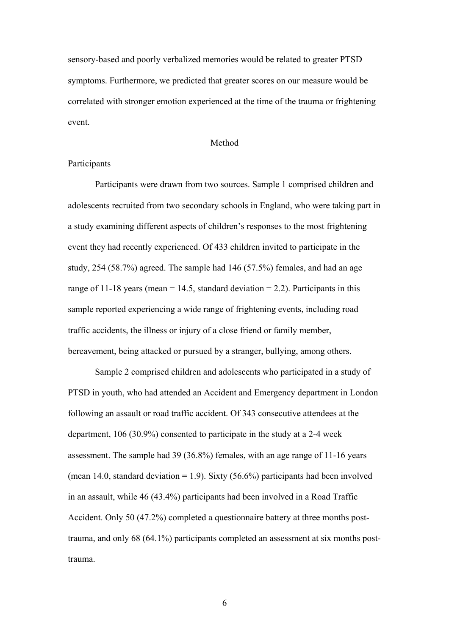sensory-based and poorly verbalized memories would be related to greater PTSD symptoms. Furthermore, we predicted that greater scores on our measure would be correlated with stronger emotion experienced at the time of the trauma or frightening event.

#### Method

## Participants

Participants were drawn from two sources. Sample 1 comprised children and adolescents recruited from two secondary schools in England, who were taking part in a study examining different aspects of children's responses to the most frightening event they had recently experienced. Of 433 children invited to participate in the study, 254 (58.7%) agreed. The sample had 146 (57.5%) females, and had an age range of 11-18 years (mean = 14.5, standard deviation = 2.2). Participants in this sample reported experiencing a wide range of frightening events, including road traffic accidents, the illness or injury of a close friend or family member, bereavement, being attacked or pursued by a stranger, bullying, among others.

Sample 2 comprised children and adolescents who participated in a study of PTSD in youth, who had attended an Accident and Emergency department in London following an assault or road traffic accident. Of 343 consecutive attendees at the department, 106 (30.9%) consented to participate in the study at a 2-4 week assessment. The sample had 39 (36.8%) females, with an age range of 11-16 years (mean 14.0, standard deviation = 1.9). Sixty  $(56.6\%)$  participants had been involved in an assault, while 46 (43.4%) participants had been involved in a Road Traffic Accident. Only 50 (47.2%) completed a questionnaire battery at three months posttrauma, and only 68 (64.1%) participants completed an assessment at six months posttrauma.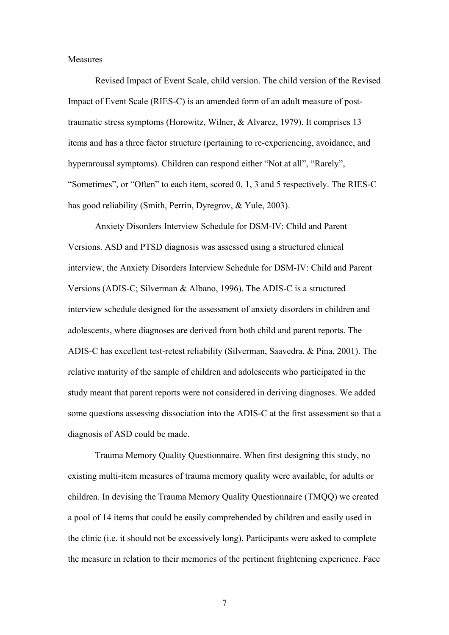### **Measures**

Revised Impact of Event Scale, child version. The child version of the Revised Impact of Event Scale (RIES-C) is an amended form of an adult measure of posttraumatic stress symptoms (Horowitz, Wilner, & Alvarez, 1979). It comprises 13 items and has a three factor structure (pertaining to re-experiencing, avoidance, and hyperarousal symptoms). Children can respond either "Not at all", "Rarely", "Sometimes", or "Often" to each item, scored 0, 1, 3 and 5 respectively. The RIES-C has good reliability (Smith, Perrin, Dyregrov, & Yule, 2003).

Anxiety Disorders Interview Schedule for DSM-IV: Child and Parent Versions. ASD and PTSD diagnosis was assessed using a structured clinical interview, the Anxiety Disorders Interview Schedule for DSM-IV: Child and Parent Versions (ADIS-C; Silverman & Albano, 1996). The ADIS-C is a structured interview schedule designed for the assessment of anxiety disorders in children and adolescents, where diagnoses are derived from both child and parent reports. The ADIS-C has excellent test-retest reliability (Silverman, Saavedra, & Pina, 2001). The relative maturity of the sample of children and adolescents who participated in the study meant that parent reports were not considered in deriving diagnoses. We added some questions assessing dissociation into the ADIS-C at the first assessment so that a diagnosis of ASD could be made.

Trauma Memory Quality Questionnaire. When first designing this study, no existing multi-item measures of trauma memory quality were available, for adults or children. In devising the Trauma Memory Quality Questionnaire (TMQQ) we created a pool of 14 items that could be easily comprehended by children and easily used in the clinic (i.e. it should not be excessively long). Participants were asked to complete the measure in relation to their memories of the pertinent frightening experience. Face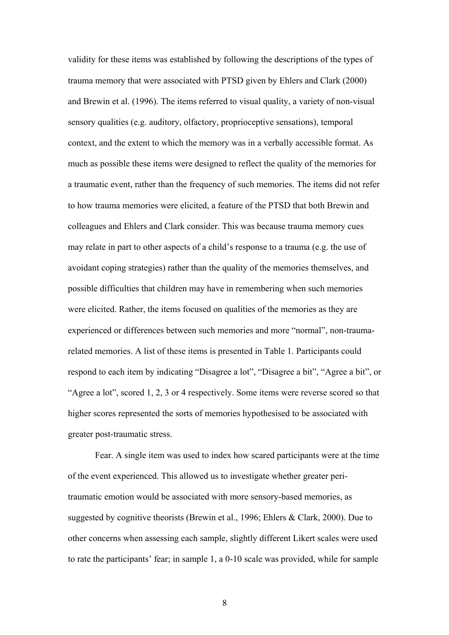validity for these items was established by following the descriptions of the types of trauma memory that were associated with PTSD given by Ehlers and Clark (2000) and Brewin et al. (1996). The items referred to visual quality, a variety of non-visual sensory qualities (e.g. auditory, olfactory, proprioceptive sensations), temporal context, and the extent to which the memory was in a verbally accessible format. As much as possible these items were designed to reflect the quality of the memories for a traumatic event, rather than the frequency of such memories. The items did not refer to how trauma memories were elicited, a feature of the PTSD that both Brewin and colleagues and Ehlers and Clark consider. This was because trauma memory cues may relate in part to other aspects of a child's response to a trauma (e.g. the use of avoidant coping strategies) rather than the quality of the memories themselves, and possible difficulties that children may have in remembering when such memories were elicited. Rather, the items focused on qualities of the memories as they are experienced or differences between such memories and more "normal", non-traumarelated memories. A list of these items is presented in Table 1. Participants could respond to each item by indicating "Disagree a lot", "Disagree a bit", "Agree a bit", or "Agree a lot", scored 1, 2, 3 or 4 respectively. Some items were reverse scored so that higher scores represented the sorts of memories hypothesised to be associated with greater post-traumatic stress.

Fear. A single item was used to index how scared participants were at the time of the event experienced. This allowed us to investigate whether greater peritraumatic emotion would be associated with more sensory-based memories, as suggested by cognitive theorists (Brewin et al., 1996; Ehlers & Clark, 2000). Due to other concerns when assessing each sample, slightly different Likert scales were used to rate the participants' fear; in sample 1, a 0-10 scale was provided, while for sample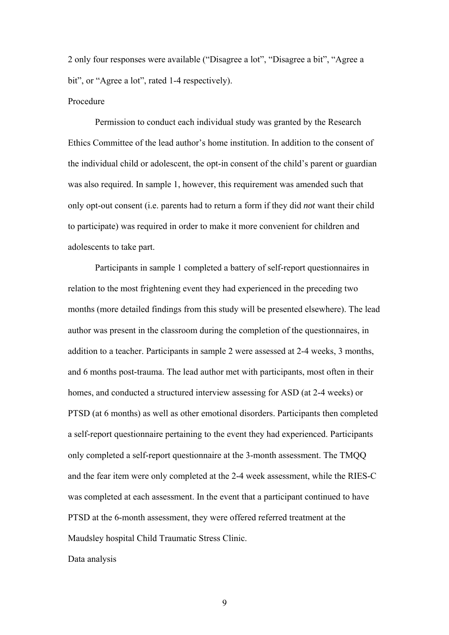2 only four responses were available ("Disagree a lot", "Disagree a bit", "Agree a bit", or "Agree a lot", rated 1-4 respectively).

## Procedure

Permission to conduct each individual study was granted by the Research Ethics Committee of the lead author's home institution. In addition to the consent of the individual child or adolescent, the opt-in consent of the child's parent or guardian was also required. In sample 1, however, this requirement was amended such that only opt-out consent (i.e. parents had to return a form if they did *not* want their child to participate) was required in order to make it more convenient for children and adolescents to take part.

Participants in sample 1 completed a battery of self-report questionnaires in relation to the most frightening event they had experienced in the preceding two months (more detailed findings from this study will be presented elsewhere). The lead author was present in the classroom during the completion of the questionnaires, in addition to a teacher. Participants in sample 2 were assessed at 2-4 weeks, 3 months, and 6 months post-trauma. The lead author met with participants, most often in their homes, and conducted a structured interview assessing for ASD (at 2-4 weeks) or PTSD (at 6 months) as well as other emotional disorders. Participants then completed a self-report questionnaire pertaining to the event they had experienced. Participants only completed a self-report questionnaire at the 3-month assessment. The TMQQ and the fear item were only completed at the 2-4 week assessment, while the RIES-C was completed at each assessment. In the event that a participant continued to have PTSD at the 6-month assessment, they were offered referred treatment at the Maudsley hospital Child Traumatic Stress Clinic.

Data analysis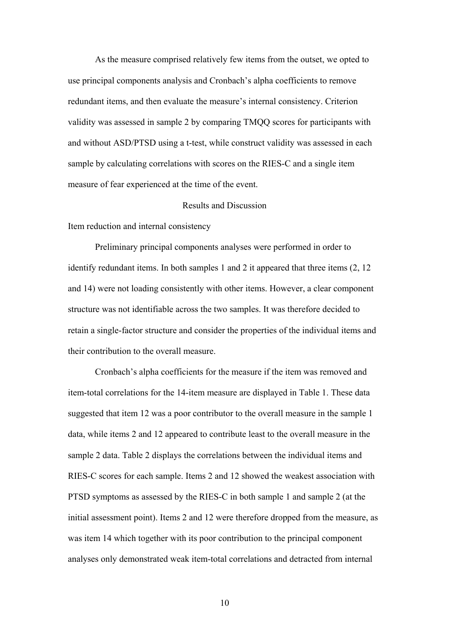As the measure comprised relatively few items from the outset, we opted to use principal components analysis and Cronbach's alpha coefficients to remove redundant items, and then evaluate the measure's internal consistency. Criterion validity was assessed in sample 2 by comparing TMQQ scores for participants with and without ASD/PTSD using a t-test, while construct validity was assessed in each sample by calculating correlations with scores on the RIES-C and a single item measure of fear experienced at the time of the event.

# Results and Discussion

Item reduction and internal consistency

Preliminary principal components analyses were performed in order to identify redundant items. In both samples 1 and 2 it appeared that three items (2, 12 and 14) were not loading consistently with other items. However, a clear component structure was not identifiable across the two samples. It was therefore decided to retain a single-factor structure and consider the properties of the individual items and their contribution to the overall measure.

Cronbach's alpha coefficients for the measure if the item was removed and item-total correlations for the 14-item measure are displayed in Table 1. These data suggested that item 12 was a poor contributor to the overall measure in the sample 1 data, while items 2 and 12 appeared to contribute least to the overall measure in the sample 2 data. Table 2 displays the correlations between the individual items and RIES-C scores for each sample. Items 2 and 12 showed the weakest association with PTSD symptoms as assessed by the RIES-C in both sample 1 and sample 2 (at the initial assessment point). Items 2 and 12 were therefore dropped from the measure, as was item 14 which together with its poor contribution to the principal component analyses only demonstrated weak item-total correlations and detracted from internal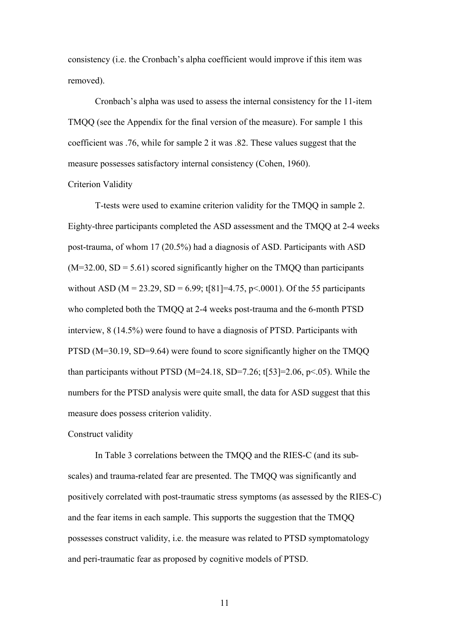consistency (i.e. the Cronbach's alpha coefficient would improve if this item was removed).

Cronbach's alpha was used to assess the internal consistency for the 11-item TMQQ (see the Appendix for the final version of the measure). For sample 1 this coefficient was .76, while for sample 2 it was .82. These values suggest that the measure possesses satisfactory internal consistency (Cohen, 1960).

### Criterion Validity

T-tests were used to examine criterion validity for the TMQQ in sample 2. Eighty-three participants completed the ASD assessment and the TMQQ at 2-4 weeks post-trauma, of whom 17 (20.5%) had a diagnosis of ASD. Participants with ASD  $(M=32.00, SD = 5.61)$  scored significantly higher on the TMQQ than participants without ASD ( $M = 23.29$ ,  $SD = 6.99$ ; t[81]=4.75, p < 0001). Of the 55 participants who completed both the TMQQ at 2-4 weeks post-trauma and the 6-month PTSD interview, 8 (14.5%) were found to have a diagnosis of PTSD. Participants with PTSD (M=30.19, SD=9.64) were found to score significantly higher on the TMQQ than participants without PTSD ( $M=24.18$ , SD=7.26; t[53]=2.06, p<.05). While the numbers for the PTSD analysis were quite small, the data for ASD suggest that this measure does possess criterion validity.

## Construct validity

In Table 3 correlations between the TMQQ and the RIES-C (and its subscales) and trauma-related fear are presented. The TMQQ was significantly and positively correlated with post-traumatic stress symptoms (as assessed by the RIES-C) and the fear items in each sample. This supports the suggestion that the TMQQ possesses construct validity, i.e. the measure was related to PTSD symptomatology and peri-traumatic fear as proposed by cognitive models of PTSD.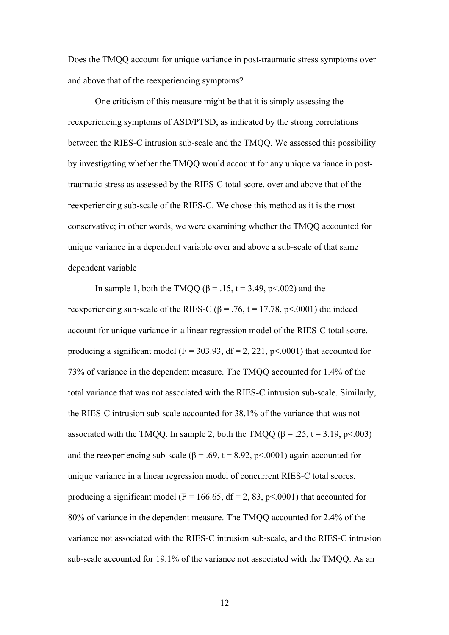Does the TMQQ account for unique variance in post-traumatic stress symptoms over and above that of the reexperiencing symptoms?

One criticism of this measure might be that it is simply assessing the reexperiencing symptoms of ASD/PTSD, as indicated by the strong correlations between the RIES-C intrusion sub-scale and the TMQQ. We assessed this possibility by investigating whether the TMQQ would account for any unique variance in posttraumatic stress as assessed by the RIES-C total score, over and above that of the reexperiencing sub-scale of the RIES-C. We chose this method as it is the most conservative; in other words, we were examining whether the TMQQ accounted for unique variance in a dependent variable over and above a sub-scale of that same dependent variable

In sample 1, both the TMQQ ( $\beta$  = .15, t = 3.49, p < .002) and the reexperiencing sub-scale of the RIES-C ( $\beta$  = .76, t = 17.78, p<.0001) did indeed account for unique variance in a linear regression model of the RIES-C total score, producing a significant model ( $F = 303.93$ ,  $df = 2$ , 221, p<.0001) that accounted for 73% of variance in the dependent measure. The TMQQ accounted for 1.4% of the total variance that was not associated with the RIES-C intrusion sub-scale. Similarly, the RIES-C intrusion sub-scale accounted for 38.1% of the variance that was not associated with the TMQQ. In sample 2, both the TMQQ ( $\beta$  = .25, t = 3.19, p <.003) and the reexperiencing sub-scale ( $\beta$  = .69, t = 8.92, p<.0001) again accounted for unique variance in a linear regression model of concurrent RIES-C total scores, producing a significant model ( $F = 166.65$ ,  $df = 2$ , 83, p<.0001) that accounted for 80% of variance in the dependent measure. The TMQQ accounted for 2.4% of the variance not associated with the RIES-C intrusion sub-scale, and the RIES-C intrusion sub-scale accounted for 19.1% of the variance not associated with the TMQQ. As an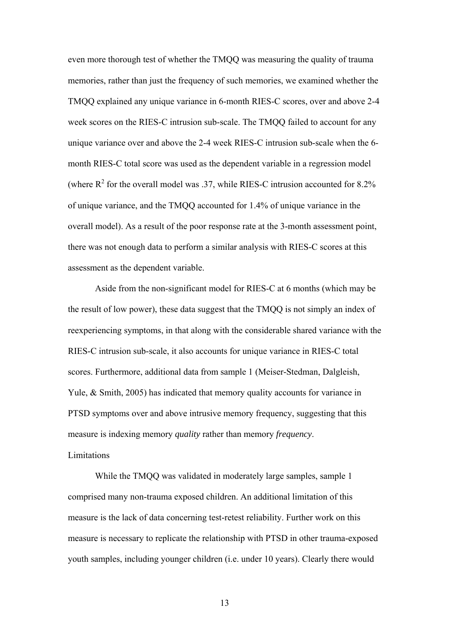even more thorough test of whether the TMQQ was measuring the quality of trauma memories, rather than just the frequency of such memories, we examined whether the TMQQ explained any unique variance in 6-month RIES-C scores, over and above 2-4 week scores on the RIES-C intrusion sub-scale. The TMQQ failed to account for any unique variance over and above the 2-4 week RIES-C intrusion sub-scale when the 6 month RIES-C total score was used as the dependent variable in a regression model (where  $R^2$  for the overall model was .37, while RIES-C intrusion accounted for 8.2% of unique variance, and the TMQQ accounted for 1.4% of unique variance in the overall model). As a result of the poor response rate at the 3-month assessment point, there was not enough data to perform a similar analysis with RIES-C scores at this assessment as the dependent variable.

Aside from the non-significant model for RIES-C at 6 months (which may be the result of low power), these data suggest that the TMQQ is not simply an index of reexperiencing symptoms, in that along with the considerable shared variance with the RIES-C intrusion sub-scale, it also accounts for unique variance in RIES-C total scores. Furthermore, additional data from sample 1 (Meiser-Stedman, Dalgleish, Yule, & Smith, 2005) has indicated that memory quality accounts for variance in PTSD symptoms over and above intrusive memory frequency, suggesting that this measure is indexing memory *quality* rather than memory *frequency*. Limitations

While the TMQQ was validated in moderately large samples, sample 1 comprised many non-trauma exposed children. An additional limitation of this measure is the lack of data concerning test-retest reliability. Further work on this measure is necessary to replicate the relationship with PTSD in other trauma-exposed youth samples, including younger children (i.e. under 10 years). Clearly there would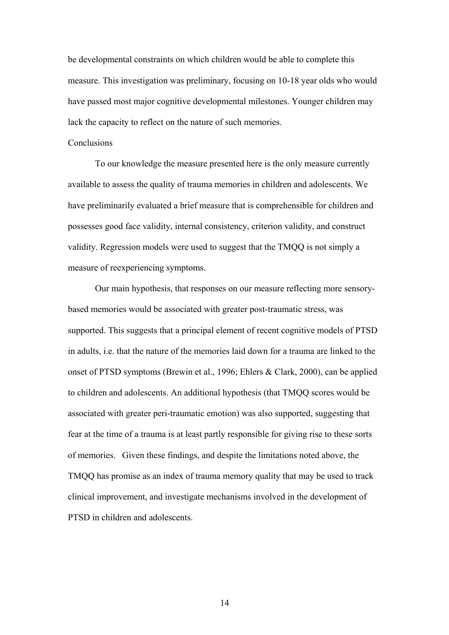be developmental constraints on which children would be able to complete this measure. This investigation was preliminary, focusing on 10-18 year olds who would have passed most major cognitive developmental milestones. Younger children may lack the capacity to reflect on the nature of such memories.

#### **Conclusions**

To our knowledge the measure presented here is the only measure currently available to assess the quality of trauma memories in children and adolescents. We have preliminarily evaluated a brief measure that is comprehensible for children and possesses good face validity, internal consistency, criterion validity, and construct validity. Regression models were used to suggest that the TMQQ is not simply a measure of reexperiencing symptoms.

Our main hypothesis, that responses on our measure reflecting more sensorybased memories would be associated with greater post-traumatic stress, was supported. This suggests that a principal element of recent cognitive models of PTSD in adults, i.e. that the nature of the memories laid down for a trauma are linked to the onset of PTSD symptoms (Brewin et al., 1996; Ehlers & Clark, 2000), can be applied to children and adolescents. An additional hypothesis (that TMQQ scores would be associated with greater peri-traumatic emotion) was also supported, suggesting that fear at the time of a trauma is at least partly responsible for giving rise to these sorts of memories. Given these findings, and despite the limitations noted above, the TMQQ has promise as an index of trauma memory quality that may be used to track clinical improvement, and investigate mechanisms involved in the development of PTSD in children and adolescents.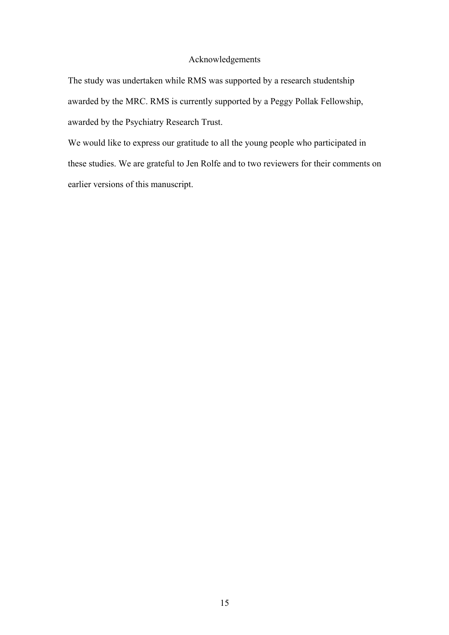# Acknowledgements

The study was undertaken while RMS was supported by a research studentship awarded by the MRC. RMS is currently supported by a Peggy Pollak Fellowship, awarded by the Psychiatry Research Trust.

We would like to express our gratitude to all the young people who participated in these studies. We are grateful to Jen Rolfe and to two reviewers for their comments on earlier versions of this manuscript.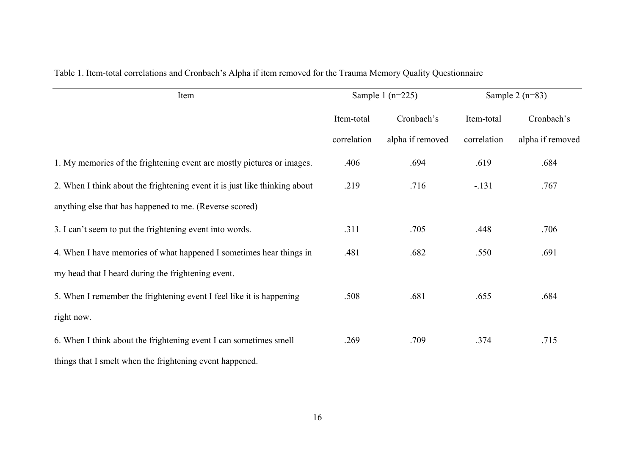| Item                                                                       | Sample 1 $(n=225)$ |                  | Sample $2(n=83)$ |                  |
|----------------------------------------------------------------------------|--------------------|------------------|------------------|------------------|
|                                                                            | Item-total         | Cronbach's       | Item-total       | Cronbach's       |
|                                                                            | correlation        | alpha if removed | correlation      | alpha if removed |
| 1. My memories of the frightening event are mostly pictures or images.     | .406               | .694             | .619             | .684             |
| 2. When I think about the frightening event it is just like thinking about | .219               | .716             | $-.131$          | .767             |
| anything else that has happened to me. (Reverse scored)                    |                    |                  |                  |                  |
| 3. I can't seem to put the frightening event into words.                   | .311               | .705             | .448             | .706             |
| 4. When I have memories of what happened I sometimes hear things in        | .481               | .682             | .550             | .691             |
| my head that I heard during the frightening event.                         |                    |                  |                  |                  |
| 5. When I remember the frightening event I feel like it is happening       | .508               | .681             | .655             | .684             |
| right now.                                                                 |                    |                  |                  |                  |
| 6. When I think about the frightening event I can sometimes smell          | .269               | .709             | .374             | .715             |
| things that I smelt when the frightening event happened.                   |                    |                  |                  |                  |

| Table 1. Item-total correlations and Cronbach's Alpha if item removed for the Trauma Memory Quality Questionnaire |  |  |
|-------------------------------------------------------------------------------------------------------------------|--|--|
|-------------------------------------------------------------------------------------------------------------------|--|--|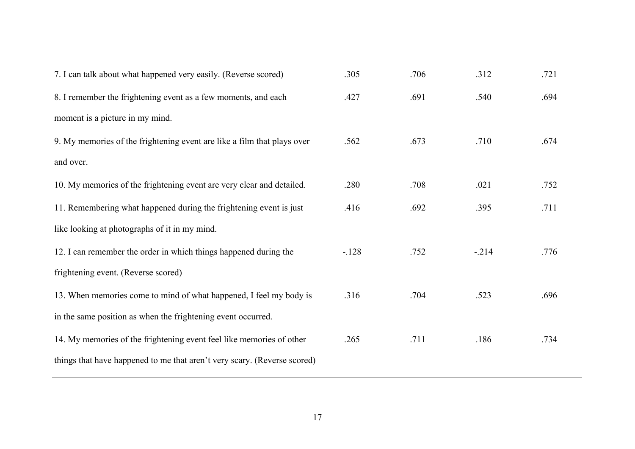| 7. I can talk about what happened very easily. (Reverse scored)          | .305    | .706 | .312   | .721 |
|--------------------------------------------------------------------------|---------|------|--------|------|
| 8. I remember the frightening event as a few moments, and each           | .427    | .691 | .540   | .694 |
| moment is a picture in my mind.                                          |         |      |        |      |
| 9. My memories of the frightening event are like a film that plays over  | .562    | .673 | .710   | .674 |
| and over.                                                                |         |      |        |      |
| 10. My memories of the frightening event are very clear and detailed.    | .280    | .708 | .021   | .752 |
| 11. Remembering what happened during the frightening event is just       | .416    | .692 | .395   | .711 |
| like looking at photographs of it in my mind.                            |         |      |        |      |
| 12. I can remember the order in which things happened during the         | $-.128$ | .752 | $-214$ | .776 |
| frightening event. (Reverse scored)                                      |         |      |        |      |
| 13. When memories come to mind of what happened, I feel my body is       | .316    | .704 | .523   | .696 |
| in the same position as when the frightening event occurred.             |         |      |        |      |
| 14. My memories of the frightening event feel like memories of other     | .265    | .711 | .186   | .734 |
| things that have happened to me that aren't very scary. (Reverse scored) |         |      |        |      |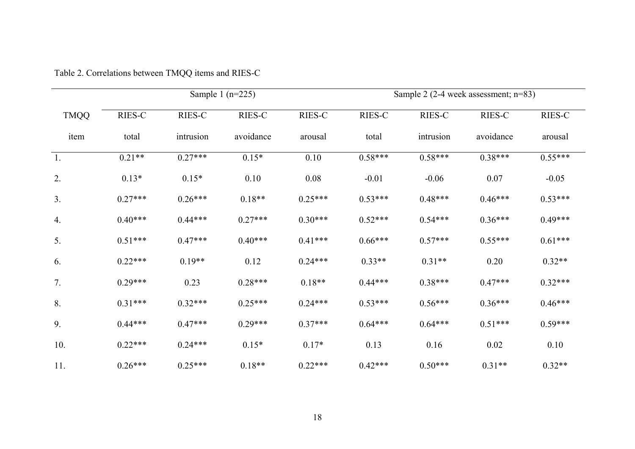|             |           | Sample 1 $(n=225)$ |           |           |           | Sample 2 (2-4 week assessment; n=83) |           |           |  |
|-------------|-----------|--------------------|-----------|-----------|-----------|--------------------------------------|-----------|-----------|--|
| <b>TMQQ</b> | RIES-C    | RIES-C             | RIES-C    | RIES-C    | $RIES-C$  | RIES-C                               | RIES-C    | RIES-C    |  |
| item        | total     | intrusion          | avoidance | arousal   | total     | intrusion                            | avoidance | arousal   |  |
| 1.          | $0.21**$  | $0.27***$          | $0.15*$   | 0.10      | $0.58***$ | $0.58***$                            | $0.38***$ | $0.55***$ |  |
| 2.          | $0.13*$   | $0.15*$            | 0.10      | 0.08      | $-0.01$   | $-0.06$                              | 0.07      | $-0.05$   |  |
| 3.          | $0.27***$ | $0.26***$          | $0.18**$  | $0.25***$ | $0.53***$ | $0.48***$                            | $0.46***$ | $0.53***$ |  |
| 4.          | $0.40***$ | $0.44***$          | $0.27***$ | $0.30***$ | $0.52***$ | $0.54***$                            | $0.36***$ | $0.49***$ |  |
| 5.          | $0.51***$ | $0.47***$          | $0.40***$ | $0.41***$ | $0.66***$ | $0.57***$                            | $0.55***$ | $0.61***$ |  |
| 6.          | $0.22***$ | $0.19**$           | 0.12      | $0.24***$ | $0.33**$  | $0.31**$                             | 0.20      | $0.32**$  |  |
| 7.          | $0.29***$ | 0.23               | $0.28***$ | $0.18**$  | $0.44***$ | $0.38***$                            | $0.47***$ | $0.32***$ |  |
| 8.          | $0.31***$ | $0.32***$          | $0.25***$ | $0.24***$ | $0.53***$ | $0.56***$                            | $0.36***$ | $0.46***$ |  |
| 9.          | $0.44***$ | $0.47***$          | $0.29***$ | $0.37***$ | $0.64***$ | $0.64***$                            | $0.51***$ | $0.59***$ |  |
| 10.         | $0.22***$ | $0.24***$          | $0.15*$   | $0.17*$   | 0.13      | 0.16                                 | 0.02      | 0.10      |  |
| 11.         | $0.26***$ | $0.25***$          | $0.18**$  | $0.22***$ | $0.42***$ | $0.50***$                            | $0.31**$  | $0.32**$  |  |

Table 2. Correlations between TMQQ items and RIES-C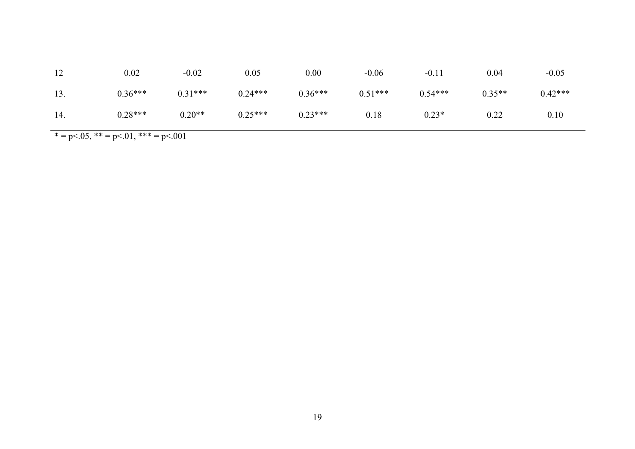\* = p < 0.05, \* \* = p < 0.01, \* \* \* = p < 0.01

| 12  | 0.02      | $-0.02$   | 0.05      | 0.00      | $-0.06$   | $-0.11$   | 0.04     | $-0.05$   |
|-----|-----------|-----------|-----------|-----------|-----------|-----------|----------|-----------|
| 13. | $0.36***$ | $0.31***$ | $0.24***$ | $0.36***$ | $0.51***$ | $0.54***$ | $0.35**$ | $0.42***$ |
| 14. | $0.28***$ | $0.20**$  | $0.25***$ | $0.23***$ | 0.18      | $0.23*$   | 0.22     | 0.10      |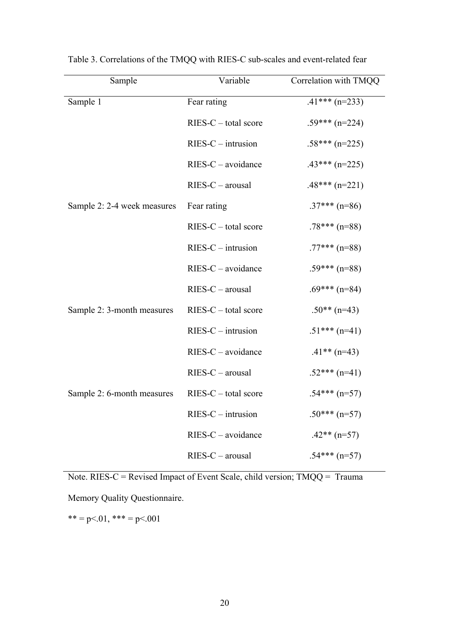| Sample                      | Variable               | Correlation with TMQQ |
|-----------------------------|------------------------|-----------------------|
| Sample 1                    | Fear rating            | $.41***$ (n=233)      |
|                             | $RIES-C - total score$ | $.59***$ (n=224)      |
|                             | $RIES-C - intrusion$   | $.58***$ (n=225)      |
|                             | $RIES-C - avoidance$   | $.43***$ (n=225)      |
|                             | $RIES-C - arousal$     | $.48***$ (n=221)      |
| Sample 2: 2-4 week measures | Fear rating            | $.37***$ (n=86)       |
|                             | $RIES-C - total score$ | $.78***$ (n=88)       |
|                             | $RIES-C - intrusion$   | $.77***$ (n=88)       |
|                             | $RIES-C - avoidance$   | $.59***$ (n=88)       |
|                             | $RIES-C - arousal$     | $.69***$ (n=84)       |
| Sample 2: 3-month measures  | $RIES-C - total score$ | $.50**$ (n=43)        |
|                             | $RIES-C - intrusion$   | $.51***$ (n=41)       |
|                             | $RIES-C - avoidance$   | $.41**$ (n=43)        |
|                             | $RIES-C - arousal$     | $.52***$ (n=41)       |
| Sample 2: 6-month measures  | $RIES-C - total score$ | $.54***$ (n=57)       |
|                             | $RIES-C - intrusion$   | $.50***$ (n=57)       |
|                             | $RIES-C - avoidance$   | $.42**$ (n=57)        |
|                             | $RIES-C - arousal$     | $.54***$ (n=57)       |

Table 3. Correlations of the TMQQ with RIES-C sub-scales and event-related fear

Note. RIES-C = Revised Impact of Event Scale, child version;  $TMQQ = Trauma$ Memory Quality Questionnaire.

 $*** = p<.01,*** = p<.001$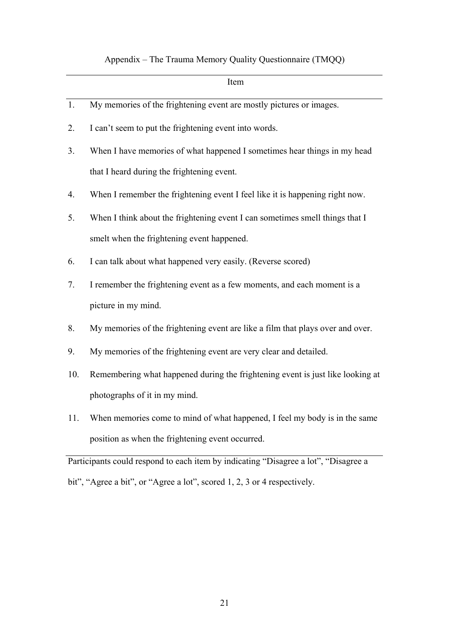# Appendix – The Trauma Memory Quality Questionnaire (TMQQ)

|    | Item                                                                         |
|----|------------------------------------------------------------------------------|
| 1. | My memories of the frightening event are mostly pictures or images.          |
| 2. | I can't seem to put the frightening event into words.                        |
| 3. | When I have memories of what happened I sometimes hear things in my head     |
|    | that I heard during the frightening event.                                   |
| 4. | When I remember the frightening event I feel like it is happening right now. |
| 5. | When I think about the frightening event I can sometimes smell things that I |
|    | smelt when the frightening event happened.                                   |
| 6. | I can talk about what happened very easily. (Reverse scored)                 |
| 7. | I remember the frightening event as a few moments, and each moment is a      |
|    | picture in my mind.                                                          |
|    |                                                                              |

- 8. My memories of the frightening event are like a film that plays over and over.
- 9. My memories of the frightening event are very clear and detailed.
- 10. Remembering what happened during the frightening event is just like looking at photographs of it in my mind.
- 11. When memories come to mind of what happened, I feel my body is in the same position as when the frightening event occurred.

Participants could respond to each item by indicating "Disagree a lot", "Disagree a bit", "Agree a bit", or "Agree a lot", scored 1, 2, 3 or 4 respectively.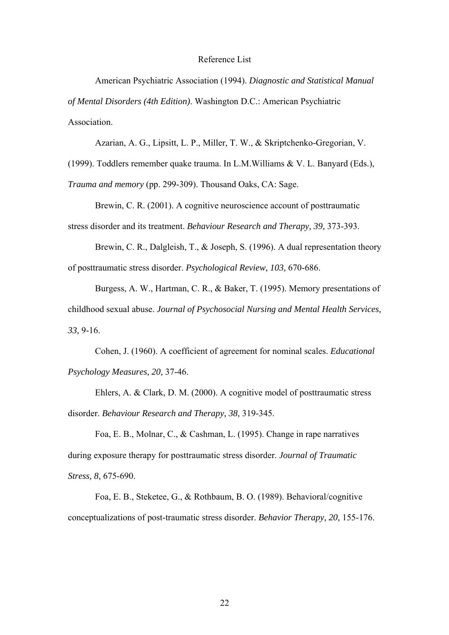### Reference List

American Psychiatric Association (1994). *Diagnostic and Statistical Manual of Mental Disorders (4th Edition)*. Washington D.C.: American Psychiatric Association.

Azarian, A. G., Lipsitt, L. P., Miller, T. W., & Skriptchenko-Gregorian, V.

(1999). Toddlers remember quake trauma. In L.M.Williams & V. L. Banyard (Eds.), *Trauma and memory* (pp. 299-309). Thousand Oaks, CA: Sage.

Brewin, C. R. (2001). A cognitive neuroscience account of posttraumatic stress disorder and its treatment. *Behaviour Research and Therapy, 39,* 373-393.

Brewin, C. R., Dalgleish, T., & Joseph, S. (1996). A dual representation theory of posttraumatic stress disorder. *Psychological Review, 103,* 670-686.

Burgess, A. W., Hartman, C. R., & Baker, T. (1995). Memory presentations of childhood sexual abuse. *Journal of Psychosocial Nursing and Mental Health Services, 33,* 9-16.

Cohen, J. (1960). A coefficient of agreement for nominal scales. *Educational Psychology Measures, 20,* 37-46.

Ehlers, A. & Clark, D. M. (2000). A cognitive model of posttraumatic stress disorder. *Behaviour Research and Therapy, 38,* 319-345.

Foa, E. B., Molnar, C., & Cashman, L. (1995). Change in rape narratives during exposure therapy for posttraumatic stress disorder. *Journal of Traumatic Stress, 8,* 675-690.

Foa, E. B., Steketee, G., & Rothbaum, B. O. (1989). Behavioral/cognitive conceptualizations of post-traumatic stress disorder. *Behavior Therapy, 20,* 155-176.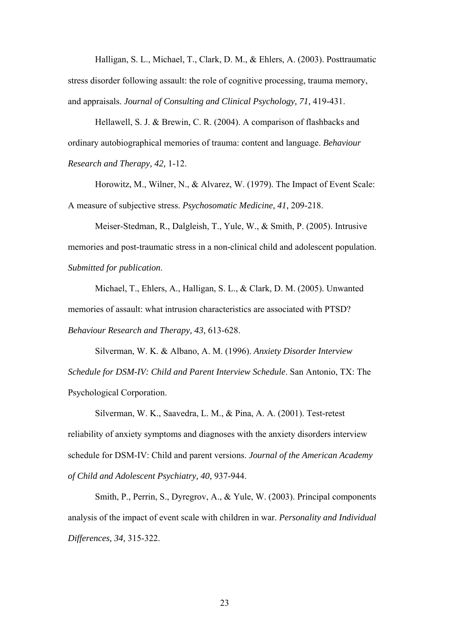Halligan, S. L., Michael, T., Clark, D. M., & Ehlers, A. (2003). Posttraumatic stress disorder following assault: the role of cognitive processing, trauma memory, and appraisals. *Journal of Consulting and Clinical Psychology, 71,* 419-431.

Hellawell, S. J. & Brewin, C. R. (2004). A comparison of flashbacks and ordinary autobiographical memories of trauma: content and language. *Behaviour Research and Therapy, 42,* 1-12.

Horowitz, M., Wilner, N., & Alvarez, W. (1979). The Impact of Event Scale: A measure of subjective stress. *Psychosomatic Medicine, 41,* 209-218.

Meiser-Stedman, R., Dalgleish, T., Yule, W., & Smith, P. (2005). Intrusive memories and post-traumatic stress in a non-clinical child and adolescent population. *Submitted for publication*.

Michael, T., Ehlers, A., Halligan, S. L., & Clark, D. M. (2005). Unwanted memories of assault: what intrusion characteristics are associated with PTSD? *Behaviour Research and Therapy, 43,* 613-628.

Silverman, W. K. & Albano, A. M. (1996). *Anxiety Disorder Interview Schedule for DSM-IV: Child and Parent Interview Schedule*. San Antonio, TX: The Psychological Corporation.

Silverman, W. K., Saavedra, L. M., & Pina, A. A. (2001). Test-retest reliability of anxiety symptoms and diagnoses with the anxiety disorders interview schedule for DSM-IV: Child and parent versions. *Journal of the American Academy of Child and Adolescent Psychiatry, 40,* 937-944.

Smith, P., Perrin, S., Dyregrov, A., & Yule, W. (2003). Principal components analysis of the impact of event scale with children in war. *Personality and Individual Differences, 34,* 315-322.